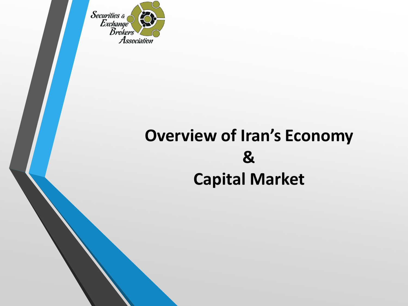Securities  $\&$ Exchange Association

#### **Overview of Iran's Economy & Capital Market**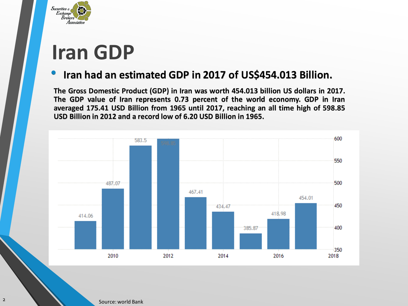

## **Iran GDP**

#### • **Iran had an estimated GDP in <sup>2017</sup> of US\$454.013 Billion.**

**The Gross Domestic Product (GDP) in Iran was worth 454.013 billion US dollars in 2017. The GDP value of Iran represents 0.73 percent of the world economy. GDP in Iran averaged 175.41 USD Billion from 1965 until 2017, reaching an all time high of 598.85 USD Billion in 2012 and a record low of 6.20 USD Billion in 1965.**



2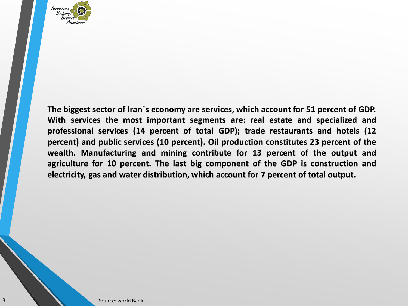

**The biggest sector of Iran´s economy are services, which account for 51 percent of GDP. With services the most important segments are: real estate and specialized and professional services (14 percent of total GDP); trade restaurants and hotels (12 percent) and public services (10 percent). Oil production constitutes 23 percent of the wealth. Manufacturing and mining contribute for 13 percent of the output and agriculture for 10 percent. The last big component of the GDP is construction and electricity, gas and water distribution, which account for 7 percent of total output.**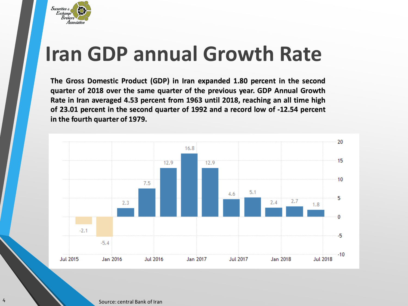

## **Iran GDP annual Growth Rate**

**The Gross Domestic Product (GDP) in Iran expanded 1.80 percent in the second quarter of 2018 over the same quarter of the previous year. GDP Annual Growth Rate in Iran averaged 4.53 percent from 1963 until 2018, reaching an all time high of 23.01 percent in the second quarter of 1992 and a record low of -12.54 percent in the fourth quarter of 1979.**



Express Cource: central Bank of Iran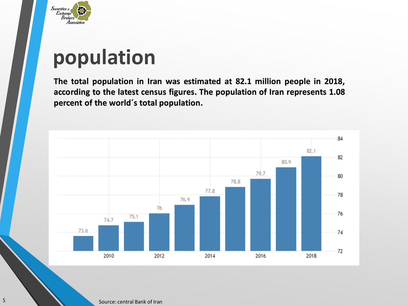

# **population**

**The total population in Iran was estimated at 82.1 million people in 2018, according to the latest census figures. The population of Iran represents 1.08 percent of the world´s total population.**



Source: central Bank of Iran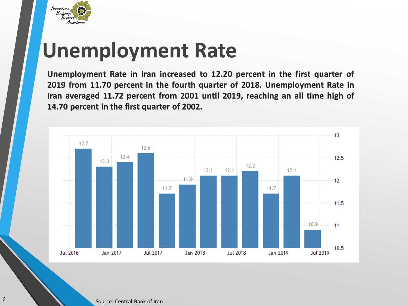

## **Unemployment Rate**

**Unemployment Rate in Iran increased to 12.20 percent in the first quarter of 2019 from 11.70 percent in the fourth quarter of 2018. Unemployment Rate in Iran averaged 11.72 percent from 2001 until 2019, reaching an all time high of 14.70 percent in the first quarter of 2002.**

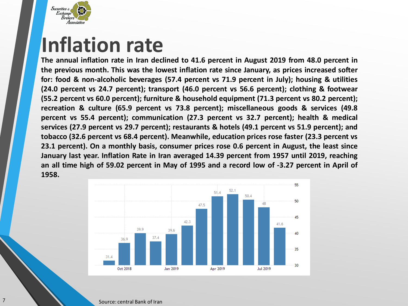

#### **Inflation rate**

**The annual inflation rate in Iran declined to 41.6 percent in August 2019 from 48.0 percent in the previous month. This was the lowest inflation rate since January, as prices increased softer for: food & non-alcoholic beverages (57.4 percent vs 71.9 percent in July); housing & utilities (24.0 percent vs 24.7 percent); transport (46.0 percent vs 56.6 percent); clothing & footwear (55.2 percent vs 60.0 percent); furniture & household equipment (71.3 percent vs 80.2 percent); recreation & culture (65.9 percent vs 73.8 percent); miscellaneous goods & services (49.8 percent vs 55.4 percent); communication (27.3 percent vs 32.7 percent); health & medical services (27.9 percent vs 29.7 percent); restaurants & hotels (49.1 percent vs 51.9 percent); and tobacco (32.6 percent vs 68.4 percent). Meanwhile, education prices rose faster (23.3 percent vs 23.1 percent). On a monthly basis, consumer prices rose 0.6 percent in August, the least since January last year. Inflation Rate in Iran averaged 14.39 percent from 1957 until 2019, reaching** an all time high of 59.02 percent in May of 1995 and a record low of -3.27 percent in April of **1958.**

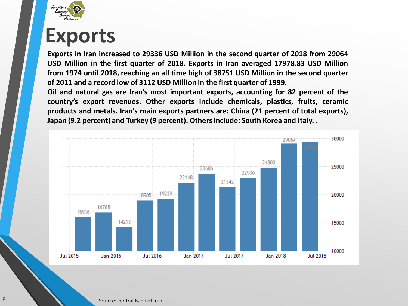

#### **Exports**

**Exports in Iran increased to 29336 USD Million in the second quarter of 2018 from 29064 USD Million in the first quarter of 2018. Exports in Iran averaged 17978.83 USD Million from 1974 until 2018, reaching an all time high of 38751 USD Million in the second quarter of 2011 and a record low of 3112 USD Million in the first quarter of 1999.**

**Oil and natural gas are Iran's most important exports, accounting for 82 percent of the country's export revenues. Other exports include chemicals, plastics, fruits, ceramic products and metals. Iran's main exports partners are: China (21 percent of total exports), Japan (9.2 percent) and Turkey (9 percent). Othersinclude: South Korea and Italy. .**

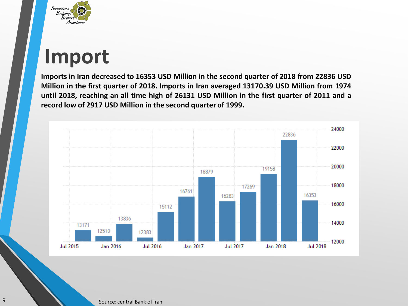

### **Import**

**Imports in Iran decreased to 16353 USD Million in the second quarter of 2018 from 22836 USD Million in the first quarter of 2018. Imports in Iran averaged 13170.39 USD Million from 1974** until 2018, reaching an all time high of 26131 USD Million in the first quarter of 2011 and a **record low of 2917 USD Million in the second quarter of 1999.**

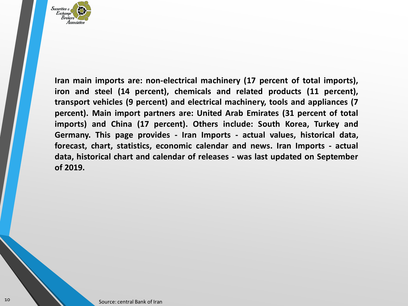

**Iran main imports are: non-electrical machinery (17 percent of total imports), iron and steel (14 percent), chemicals and related products (11 percent), transport vehicles (9 percent) and electrical machinery, tools and appliances (7 percent). Main import partners are: United Arab Emirates (31 percent of total imports) and China (17 percent). Others include: South Korea, Turkey and Germany. This page provides - Iran Imports - actual values, historical data, forecast, chart, statistics, economic calendar and news. Iran Imports - actual data, historical chart and calendar of releases - was last updated on September of 2019.**